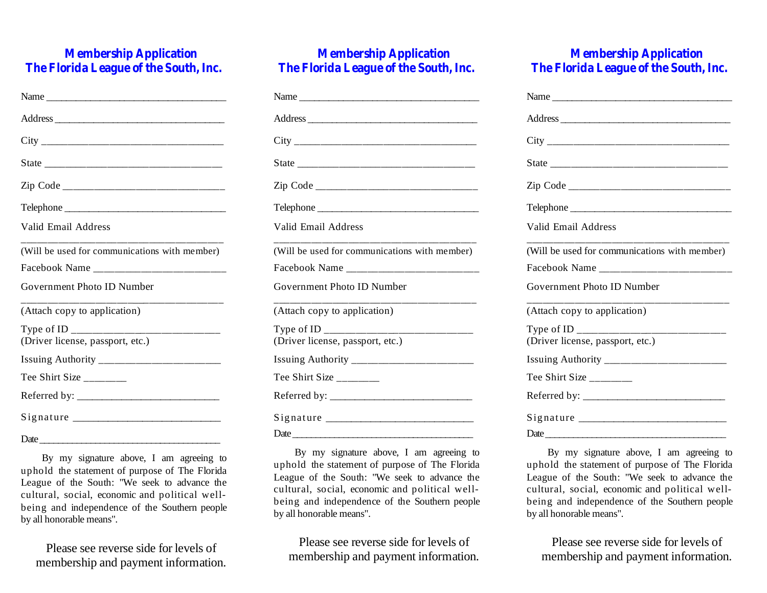# **Membership Application The Florida League of the South,Inc.**

| Telephone                                     |
|-----------------------------------------------|
| Valid Email Address                           |
| (Will be used for communications with member) |
|                                               |
| Government Photo ID Number                    |
| (Attach copy to application)                  |
| (Driver license, passport, etc.)              |
|                                               |
|                                               |
| Tee Shirt Size                                |
|                                               |
|                                               |
|                                               |

By my signature above, I am agreeing to uphold the statement of purpose of The Florida League of the South: "We seek to advance the cultural, social, economic and political wellbeing and independence of the Southern people by all honorable means".

Please see reverse side for levels of membership and payment information.

# **Membership Application The Florida League of the South,Inc.**

| Name                                                            |
|-----------------------------------------------------------------|
|                                                                 |
|                                                                 |
|                                                                 |
|                                                                 |
|                                                                 |
| Valid Email Address                                             |
| (Will be used for communications with member)                   |
|                                                                 |
| Government Photo ID Number                                      |
| _______________________________<br>(Attach copy to application) |
|                                                                 |
| (Driver license, passport, etc.)                                |
|                                                                 |
| Tee Shirt Size                                                  |
|                                                                 |
|                                                                 |
| Date                                                            |

By my signature above, I am agreeing to uphold the statement of purpose of The Florida League of the South: "We seek to advance the cultural, social, economic and political wellbeing and independence of the Southern people by all honorable means".

Please see reverse side for levels of membership and payment information.

# **Membership Application The Florida League of the South,Inc.**

| Name                                          |
|-----------------------------------------------|
|                                               |
|                                               |
|                                               |
|                                               |
|                                               |
| Valid Email Address                           |
| (Will be used for communications with member) |
|                                               |
| Government Photo ID Number                    |
| (Attach copy to application)                  |
| (Driver license, passport, etc.)              |
|                                               |
| Tee Shirt Size______                          |
|                                               |
|                                               |
| Date                                          |

By my signature above, I am agreeing to uphold the statement of purpose of The Florida League of the South: "We seek to advance the cultural, social, economic and political wellbeing and independence of the Southern people by all honorable means".

Please see reverse side for levels of membership and payment information.